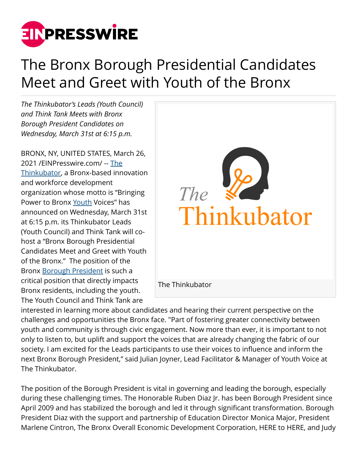

## The Bronx Borough Presidential Candidates Meet and Greet with Youth of the Bronx

*The Thinkubator's Leads (Youth Council) and Think Tank Meets with Bronx Borough President Candidates on Wednesday, March 31st at 6:15 p.m.*

BRONX, NY, UNITED STATES, March 26, 2021 /[EINPresswire.com](http://www.einpresswire.com)/ -- [The](http://thethinkubator.org) [Thinkubator](http://thethinkubator.org), a Bronx-based innovation and workforce development organization whose motto is "Bringing Power to Bronx [Youth](http://thethinkubator.org) Voices" has announced on Wednesday, March 31st at 6:15 p.m. its Thinkubator Leads (Youth Council) and Think Tank will cohost a "Bronx Borough Presidential Candidates Meet and Greet with Youth of the Bronx." The position of the Bronx [Borough President](http://thethinkubator.org) is such a critical position that directly impacts Bronx residents, including the youth. The Youth Council and Think Tank are



interested in learning more about candidates and hearing their current perspective on the challenges and opportunities the Bronx face. "Part of fostering greater connectivity between youth and community is through civic engagement. Now more than ever, it is important to not only to listen to, but uplift and support the voices that are already changing the fabric of our society. I am excited for the Leads participants to use their voices to influence and inform the next Bronx Borough President," said Julian Joyner, Lead Facilitator & Manager of Youth Voice at The Thinkubator.

The position of the Borough President is vital in governing and leading the borough, especially during these challenging times. The Honorable Ruben Diaz Jr. has been Borough President since April 2009 and has stabilized the borough and led it through significant transformation. Borough President Diaz with the support and partnership of Education Director Monica Major, President Marlene Cintron, The Bronx Overall Economic Development Corporation, HERE to HERE, and Judy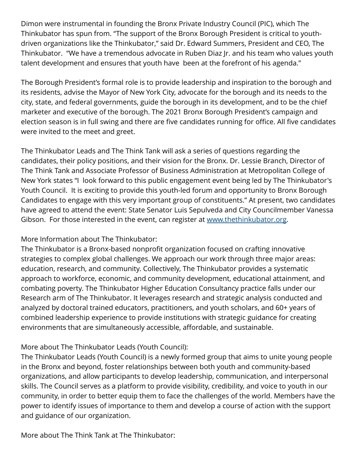Dimon were instrumental in founding the Bronx Private Industry Council (PIC), which The Thinkubator has spun from. "The support of the Bronx Borough President is critical to youthdriven organizations like the Thinkubator," said Dr. Edward Summers, President and CEO, The Thinkubator. "We have a tremendous advocate in Ruben Diaz Jr. and his team who values youth talent development and ensures that youth have been at the forefront of his agenda."

The Borough President's formal role is to provide leadership and inspiration to the borough and its residents, advise the Mayor of New York City, advocate for the borough and its needs to the city, state, and federal governments, guide the borough in its development, and to be the chief marketer and executive of the borough. The 2021 Bronx Borough President's campaign and election season is in full swing and there are five candidates running for office. All five candidates were invited to the meet and greet.

The Thinkubator Leads and The Think Tank will ask a series of questions regarding the candidates, their policy positions, and their vision for the Bronx. Dr. Lessie Branch, Director of The Think Tank and Associate Professor of Business Administration at Metropolitan College of New York states "I look forward to this public engagement event being led by The Thinkubator's Youth Council. It is exciting to provide this youth-led forum and opportunity to Bronx Borough Candidates to engage with this very important group of constituents." At present, two candidates have agreed to attend the event: State Senator Luis Sepulveda and City Councilmember Vanessa Gibson. For those interested in the event, can register at [www.thethinkubator.org.](http://www.thethinkubator.org)

More Information about The Thinkubator:

The Thinkubator is a Bronx-based nonprofit organization focused on crafting innovative strategies to complex global challenges. We approach our work through three major areas: education, research, and community. Collectively, The Thinkubator provides a systematic approach to workforce, economic, and community development, educational attainment, and combating poverty. The Thinkubator Higher Education Consultancy practice falls under our Research arm of The Thinkubator. It leverages research and strategic analysis conducted and analyzed by doctoral trained educators, practitioners, and youth scholars, and 60+ years of combined leadership experience to provide institutions with strategic guidance for creating environments that are simultaneously accessible, affordable, and sustainable.

## More about The Thinkubator Leads (Youth Council):

The Thinkubator Leads (Youth Council) is a newly formed group that aims to unite young people in the Bronx and beyond, foster relationships between both youth and community-based organizations, and allow participants to develop leadership, communication, and interpersonal skills. The Council serves as a platform to provide visibility, credibility, and voice to youth in our community, in order to better equip them to face the challenges of the world. Members have the power to identify issues of importance to them and develop a course of action with the support and guidance of our organization.

More about The Think Tank at The Thinkubator: